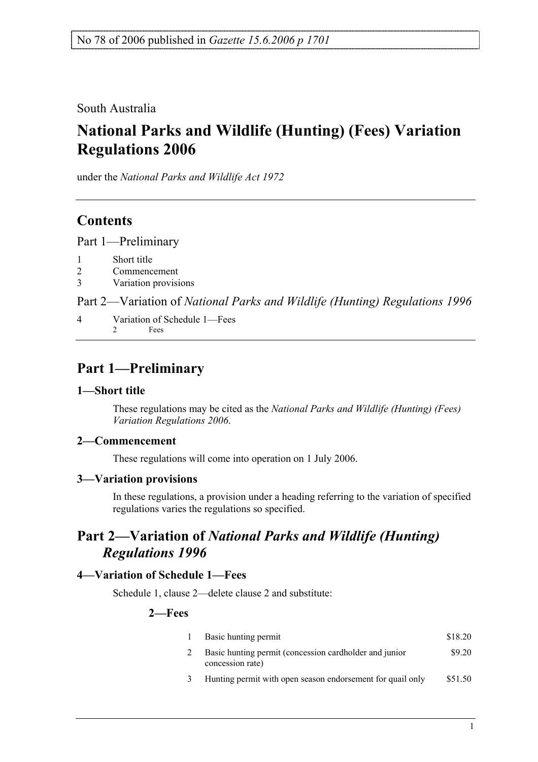South Australia

# **National Parks and Wildlife (Hunting) (Fees) Variation Regulations 2006**

under the *National Parks and Wildlife Act 1972*

## **Contents**

Part 1—Preliminary

- 1 Short title
- 2 Commencement
- 3 Variation provisions

Part 2—Variation of *National Parks and Wildlife (Hunting) Regulations 1996*

4 Variation of Schedule 1—Fees 2 Fees

# **Part 1—Preliminary**

#### **1—Short title**

These regulations may be cited as the *National Parks and Wildlife (Hunting) (Fees) Variation Regulations 2006*.

### **2—Commencement**

These regulations will come into operation on 1 July 2006.

#### **3—Variation provisions**

In these regulations, a provision under a heading referring to the variation of specified regulations varies the regulations so specified.

## **Part 2—Variation of** *National Parks and Wildlife (Hunting) Regulations 1996*

### **4—Variation of Schedule 1—Fees**

Schedule 1, clause 2—delete clause 2 and substitute:

#### **2—Fees**

| Basic hunting permit                                                       | \$18.20 |
|----------------------------------------------------------------------------|---------|
| Basic hunting permit (concession cardholder and junior<br>concession rate) | \$9.20  |
| Hunting permit with open season endorsement for quail only                 | \$51.50 |